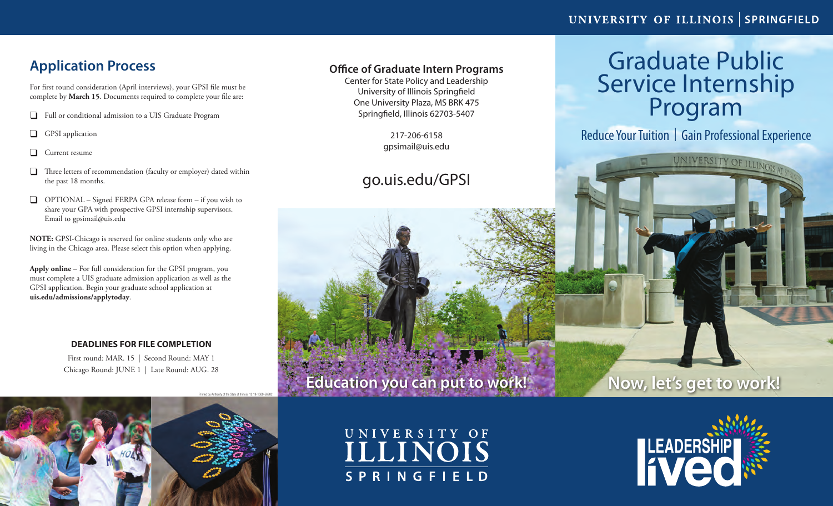## **Application Process**

For first round consideration (April interviews), your GPSI file must be complete by **March 15**. Documents required to complete your file are:

- o Full or conditional admission to a UIS Graduate Program
- $\Box$  GPSI application
- $\Box$  Current resume
- $\Box$  Three letters of recommendation (faculty or employer) dated within the past 18 months.
- $\Box$  OPTIONAL Signed FERPA GPA release form if you wish to share your GPA with prospective GPSI internship supervisors. Email to gpsimail@uis.edu

**NOTE:** GPSI-Chicago is reserved for online students only who are living in the Chicago area. Please select this option when applying.

**Apply online** – For full consideration for the GPSI program, you must complete a UIS graduate admission application as well as the GPSI application. Begin your graduate school application at **uis.edu/admissions/applytoday**.

## **DEADLINES FOR FILE COMPLETION**

First round: MAR. 15 | Second Round: MAY 1 Chicago Round: JUNE 1 | Late Round: AUG. 28

## **Office of Graduate Intern Programs**

Center for State Policy and Leadership University of Illinois Springfield One University Plaza, MS BRK 475 Springfield, Illinois 62703-5407

> 217-206-6158 gpsimail@uis.edu

# go.uis.edu/GPSI

# Graduate Public Service Internship<br>Program

Reduce Your Tuition | Gain Professional Experience

UNIVERSITY OF ILLINOIS AT

# **Now, let's get to work!**



UNIVERSITY OF ILLINOIS **SPRINGFIELD** 

**Education you can put to work!**